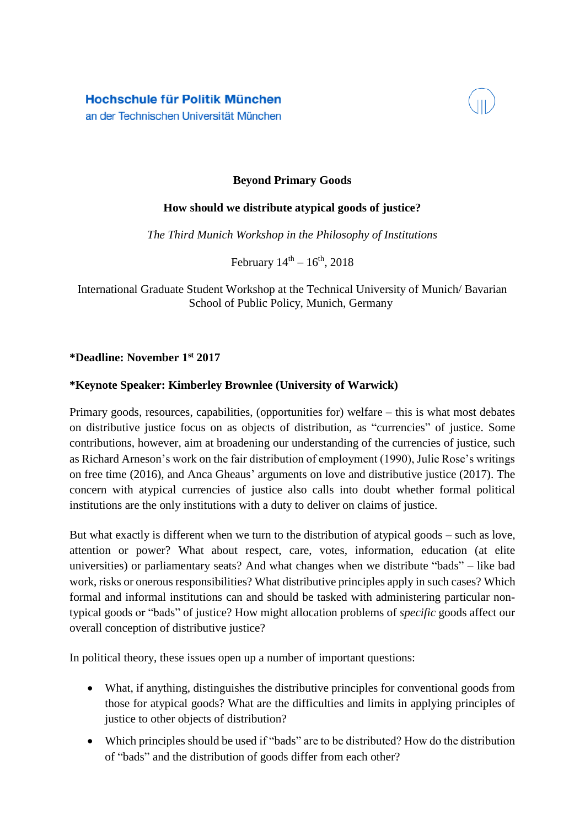Hochschule für Politik München an der Technischen Universität München



## **Beyond Primary Goods**

## **How should we distribute atypical goods of justice?**

*The Third Munich Workshop in the Philosophy of Institutions*

February  $14^{th} - 16^{th}$ , 2018

International Graduate Student Workshop at the Technical University of Munich/ Bavarian School of Public Policy, Munich, Germany

## **\*Deadline: November 1st 2017**

## **\*Keynote Speaker: Kimberley Brownlee (University of Warwick)**

Primary goods, resources, capabilities, (opportunities for) welfare – this is what most debates on distributive justice focus on as objects of distribution, as "currencies" of justice. Some contributions, however, aim at broadening our understanding of the currencies of justice, such as Richard Arneson's work on the fair distribution of employment (1990), Julie Rose's writings on free time (2016), and Anca Gheaus' arguments on love and distributive justice (2017). The concern with atypical currencies of justice also calls into doubt whether formal political institutions are the only institutions with a duty to deliver on claims of justice.

But what exactly is different when we turn to the distribution of atypical goods – such as love, attention or power? What about respect, care, votes, information, education (at elite universities) or parliamentary seats? And what changes when we distribute "bads" – like bad work, risks or onerous responsibilities? What distributive principles apply in such cases? Which formal and informal institutions can and should be tasked with administering particular nontypical goods or "bads" of justice? How might allocation problems of *specific* goods affect our overall conception of distributive justice?

In political theory, these issues open up a number of important questions:

- What, if anything, distinguishes the distributive principles for conventional goods from those for atypical goods? What are the difficulties and limits in applying principles of justice to other objects of distribution?
- Which principles should be used if "bads" are to be distributed? How do the distribution of "bads" and the distribution of goods differ from each other?